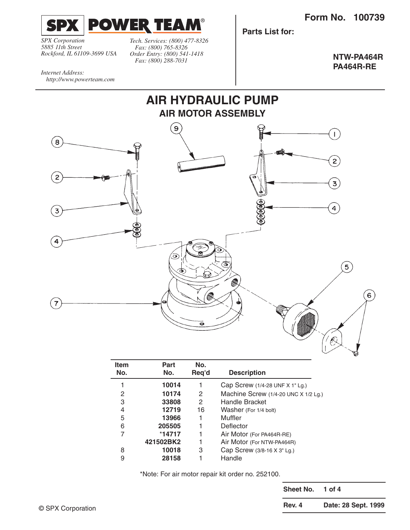**Form No. 100739**



*SPX Corporation 5885 11th Street Rockford, IL 61109-3699 USA* *Tech. Services: (800) 477-8326 Fax: (800) 765-8326 Order Entry: (800) 541-1418 Fax: (800) 288-7031*

**Parts List for:**

**NTW-PA464R PA464R-RE**

*Internet Address: http://www.powerteam.com*



| <b>Item</b> | Part      | No.   |                                          |
|-------------|-----------|-------|------------------------------------------|
| No.         | No.       | Req'd | <b>Description</b>                       |
|             | 10014     |       | Cap Screw $(1/4-28$ UNF X 1" Lg.)        |
| 2           | 10174     | 2     | Machine Screw $(1/4-20$ UNC X $1/2$ Lg.) |
| 3           | 33808     | 2     | <b>Handle Bracket</b>                    |
| 4           | 12719     | 16    | Washer (For 1/4 bolt)                    |
| 5           | 13966     |       | Muffler                                  |
| 6           | 205505    |       | Deflector                                |
| 7           | $*14717$  |       | Air Motor (For PA464R-RE)                |
|             | 421502BK2 |       | Air Motor (For NTW-PA464R)               |
| 8           | 10018     | 3     | Cap Screw (3/8-16 X 3" Lg.)              |
| 9           | 28158     |       | Handle                                   |

\*Note: For air motor repair kit order no. 252100.

**Sheet No. 1 of 4 Rev. 4 Date: 28 Sept. 1999**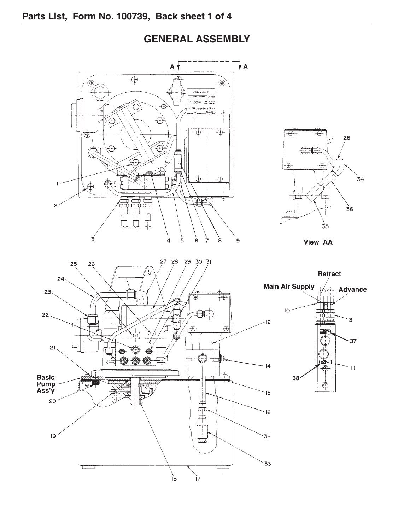

**GENERAL ASSEMBLY**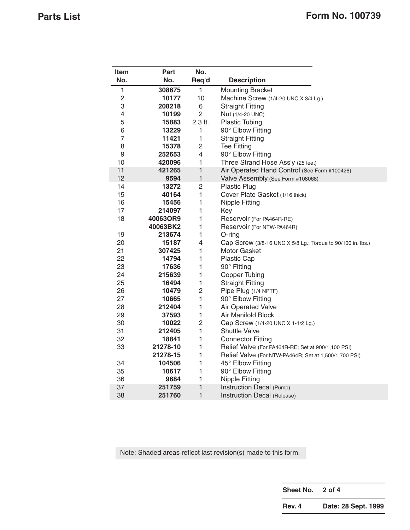| Item | Part     | No.            |                                                             |
|------|----------|----------------|-------------------------------------------------------------|
| No.  | No.      | Req'd          | <b>Description</b>                                          |
| 1    | 308675   | 1              | <b>Mounting Bracket</b>                                     |
| 2    | 10177    | 10             | Machine Screw (1/4-20 UNC X 3/4 Lg.)                        |
| 3    | 208218   | 6              | <b>Straight Fitting</b>                                     |
| 4    | 10199    | $\overline{2}$ | Nut (1/4-20 UNC)                                            |
| 5    | 15883    | 2.3 ft.        | <b>Plastic Tubing</b>                                       |
| 6    | 13229    | 1              | 90° Elbow Fitting                                           |
| 7    | 11421    | 1              | <b>Straight Fitting</b>                                     |
| 8    | 15378    | $\overline{c}$ | <b>Tee Fitting</b>                                          |
| 9    | 252653   | $\overline{4}$ | 90° Elbow Fitting                                           |
| 10   | 420096   | 1              | Three Strand Hose Ass'y (25 feet)                           |
| 11   | 421265   | 1              | Air Operated Hand Control (See Form #100426)                |
| 12   | 9594     | $\mathbf{1}$   | Valve Assembly (See Form #108068)                           |
| 14   | 13272    | $\overline{c}$ | <b>Plastic Plug</b>                                         |
| 15   | 40164    | $\mathbf{1}$   | Cover Plate Gasket (1/16 thick)                             |
| 16   | 15456    | 1              | <b>Nipple Fitting</b>                                       |
| 17   | 214097   | 1              | Key                                                         |
| 18   | 40063OR9 | 1              | Reservoir (For PA464R-RE)                                   |
|      | 40063BK2 | $\mathbf{1}$   | Reservoir (For NTW-PA464R)                                  |
| 19   | 213674   | $\mathbf{1}$   | $O$ -ring                                                   |
| 20   | 15187    | $\overline{4}$ | Cap Screw (3/8-16 UNC X 5/8 Lg.; Torque to 90/100 in. lbs.) |
| 21   | 307425   | 1              | Motor Gasket                                                |
| 22   | 14794    | $\mathbf{1}$   | Plastic Cap                                                 |
| 23   | 17636    | $\mathbf{1}$   | 90° Fitting                                                 |
| 24   | 215639   | $\mathbf{1}$   | <b>Copper Tubing</b>                                        |
| 25   | 16494    | $\mathbf{1}$   | <b>Straight Fitting</b>                                     |
| 26   | 10479    | $\overline{c}$ | Pipe Plug (1/4 NPTF)                                        |
| 27   | 10665    | $\mathbf{1}$   | 90° Elbow Fitting                                           |
| 28   | 212404   | $\mathbf{1}$   | Air Operated Valve                                          |
| 29   | 37593    | 1              | <b>Air Manifold Block</b>                                   |
| 30   | 10022    | $\overline{2}$ | Cap Screw (1/4-20 UNC X 1-1/2 Lg.)                          |
| 31   | 212405   | $\mathbf{1}$   | <b>Shuttle Valve</b>                                        |
| 32   | 18841    | 1              | <b>Connector Fitting</b>                                    |
| 33   | 21278-10 | 1              | Relief Valve (For PA464R-RE; Set at 900/1,100 PSI)          |
|      | 21278-15 | $\mathbf{1}$   | Relief Valve (For NTW-PA464R; Set at 1,500/1,700 PSI)       |
| 34   | 104506   | 1              | 45° Elbow Fitting                                           |
| 35   | 10617    | 1              | 90° Elbow Fitting                                           |
| 36   | 9684     | 1              | <b>Nipple Fitting</b>                                       |
| 37   | 251759   | $\mathbf{1}$   | Instruction Decal (Pump)                                    |
| 38   | 251760   | $\mathbf{1}$   | Instruction Decal (Release)                                 |

Note: Shaded areas reflect last revision(s) made to this form.

| <b>Sheet No.</b> |  | 2 of 4 |
|------------------|--|--------|
|------------------|--|--------|

**Rev. 4 Date: 28 Sept. 1999**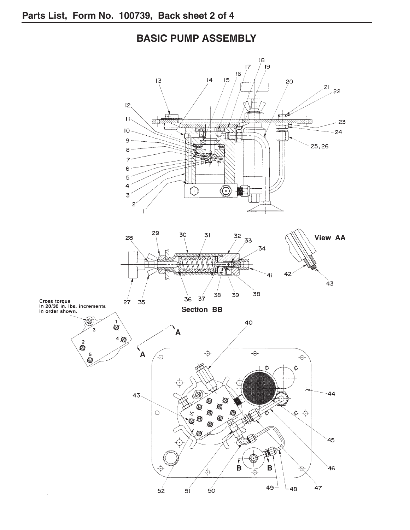## 18 ์ <sub>19</sub>  $\overline{17}$  $16$  $15$  $13$  $|4$ 20  $21$  $22$  $12<sub>1</sub>$  $\Rightarrow$  $H_{\gamma}$ 风口  $\overline{\alpha}$  in 23 ٣  $IO 24$  $\mathbf{9}$ 25, 26  $\mathbf{8}$  $\overline{7}$  $\epsilon$ 5  $\overline{4}$  $\bigodot$  $\sqrt{\bullet}$  $\overline{3}$  $\overline{c}$ 29 30  $31$ View AA 32 28 33 34  $42<sup>2</sup>$ 41  $\ddot{4}3$ 39 38 38  $36$  $37$ Cross torque<br>in 20/30 in. lbs. increments<br>in order shown.  $27$  $35$ **Section BB** 10  $\overline{\mathbb{Q}}$ 40  $\overline{3}$ A  $4<sup>Q</sup>$  $\frac{2}{2}$  $\left( \frac{1}{2} \right)$  $\overline{\bigoplus}$  $\overline{\bigoplus}$  $\bar{\mathbb{Q}}$  $\hat{\mathsf \varphi}$ ⊕  $\ddot{\Phi}$ Ò 44  $43<sub>1</sub>$ ۵ Q  $\circledR$  $\overline{\oplus}$ ES<br>O ® Q  $\phi$   $\phi$ ® ® Ò 45  $\mathsf B$ B 46 Þ  $\overline{\oplus}$ ⊕ ⊥49 47  $L_{48}$  $50$  $52$  $51$

## **BASIC PUMP ASSEMBLY**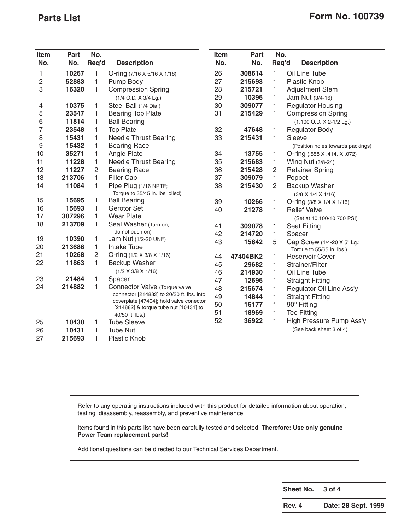| Item | Part   | No.          |                                                                                      | Item | Part     | No.            |                                                 |
|------|--------|--------------|--------------------------------------------------------------------------------------|------|----------|----------------|-------------------------------------------------|
| No.  | No.    | Req'd        | <b>Description</b>                                                                   | No.  | No.      | Req'd          | <b>Description</b>                              |
| 1    | 10267  | 1            | O-ring $(7/16 \times 5/16 \times 1/16)$                                              | 26   | 308614   | 1              | Oil Line Tube                                   |
| 2    | 52883  | 1            | Pump Body                                                                            | 27   | 215693   | 1              | <b>Plastic Knob</b>                             |
| 3    | 16320  | 1            | <b>Compression Spring</b>                                                            | 28   | 215721   | 1              | <b>Adjustment Stem</b>                          |
|      |        |              | (1/4 O.D. X 3/4 Lg.)                                                                 | 29   | 10396    | 1              | Jam Nut (3/4-16)                                |
| 4    | 10375  | 1            | Steel Ball (1/4 Dia.)                                                                | 30   | 309077   | 1              | <b>Regulator Housing</b>                        |
| 5    | 23547  | 1            | <b>Bearing Top Plate</b>                                                             | 31   | 215429   | 1              | <b>Compression Spring</b>                       |
| 6    | 11814  | 1            | <b>Ball Bearing</b>                                                                  |      |          |                | $(1.100$ O.D. $X$ 2-1/2 Lg.)                    |
| 7    | 23548  | 1            | <b>Top Plate</b>                                                                     | 32   | 47648    | 1              | <b>Regulator Body</b>                           |
| 8    | 15431  | 1            | <b>Needle Thrust Bearing</b>                                                         | 33   | 215431   | 1              | Sleeve                                          |
| 9    | 15432  | 1            | <b>Bearing Race</b>                                                                  |      |          |                | (Position holes towards packings)               |
| 10   | 35271  | 1            | Angle Plate                                                                          | 34   | 13755    | 1              | O-ring (.558 X .414. X .072)                    |
| 11   | 11228  | 1            | <b>Needle Thrust Bearing</b>                                                         | 35   | 215683   | 1              | Wing Nut (3/8-24)                               |
| 12   | 11227  | 2            | <b>Bearing Race</b>                                                                  | 36   | 215428   | $\overline{c}$ | <b>Retainer Spring</b>                          |
| 13   | 213706 | 1            | <b>Filler Cap</b>                                                                    | 37   | 309079   | 1              | Poppet                                          |
| 14   | 11084  | 1            | Pipe Plug (1/16 NPTF;<br>Torque to 35/45 in. lbs. oiled)                             | 38   | 215430   | $\overline{2}$ | Backup Washer<br>$(3/8 \times 1/4 \times 1/16)$ |
| 15   | 15695  | 1            | <b>Ball Bearing</b>                                                                  | 39   | 10266    | 1              | O-ring $(3/8 \times 1/4 \times 1/16)$           |
| 16   | 15693  | 1            | Gerotor Set                                                                          | 40   | 21278    | 1              | <b>Relief Valve</b>                             |
| 17   | 307296 | 1            | <b>Wear Plate</b>                                                                    |      |          |                | (Set at 10,100/10,700 PSI)                      |
| 18   | 213709 | $\mathbf{1}$ | Seal Washer (Turn on;                                                                | 41   | 309078   | 1              | <b>Seat Fitting</b>                             |
|      |        |              | do not push on)                                                                      | 42   | 214720   | 1              | Spacer                                          |
| 19   | 10390  | 1            | Jam Nut (1/2-20 UNF)                                                                 | 43   | 15642    | 5              | Cap Screw (1/4-20 X 5" Lg.;                     |
| 20   | 213686 | 1.           | <b>Intake Tube</b>                                                                   |      |          |                | Torque to 55/65 in. lbs.)                       |
| 21   | 10268  | $\mathbf{2}$ | O-ring $(1/2 \times 3/8 \times 1/16)$                                                | 44   | 47404BK2 | 1              | <b>Reservoir Cover</b>                          |
| 22   | 11863  | 1            | Backup Washer                                                                        | 45   | 29682    | 1              | Strainer/Filter                                 |
|      |        |              | $(1/2 \times 3/8 \times 1/16)$                                                       | 46   | 214930   | 1              | Oil Line Tube                                   |
| 23   | 21484  | 1            | Spacer                                                                               | 47   | 12696    | 1              | <b>Straight Fitting</b>                         |
| 24   | 214882 | 1            | Connector Valve (Torque valve                                                        | 48   | 215674   | 1              | Regulator Oil Line Ass'y                        |
|      |        |              | connector [214882] to 20/30 ft. lbs. into<br>coverplate [47404]; hold valve conector | 49   | 14844    | 1              | <b>Straight Fitting</b>                         |
|      |        |              | [214882] & torque tube nut [10431] to                                                | 50   | 16177    | 1              | 90° Fitting                                     |
|      |        |              | 40/50 ft. lbs.)                                                                      | 51   | 18969    | 1              | <b>Tee Fitting</b>                              |
| 25   | 10430  | 1            | <b>Tube Sleeve</b>                                                                   | 52   | 36922    | 1              | High Pressure Pump Ass'y                        |
| 26   | 10431  | 1            | <b>Tube Nut</b>                                                                      |      |          |                | (See back sheet 3 of 4)                         |
| 27   | 215693 | 1            | <b>Plastic Knob</b>                                                                  |      |          |                |                                                 |

Refer to any operating instructions included with this product for detailed information about operation, testing, disassembly, reassembly, and preventive maintenance.

Items found in this parts list have been carefully tested and selected. **Therefore: Use only genuine Power Team replacement parts!**

Additional questions can be directed to our Technical Services Department.

**Sheet No. 3 of 4**

**Rev. 4 Date: 28 Sept. 1999**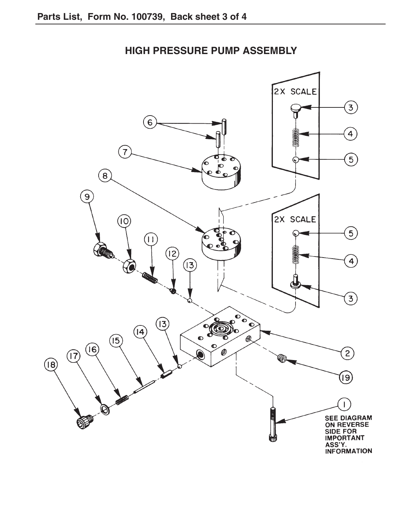

**HIGH PRESSURE PUMP ASSEMBLY**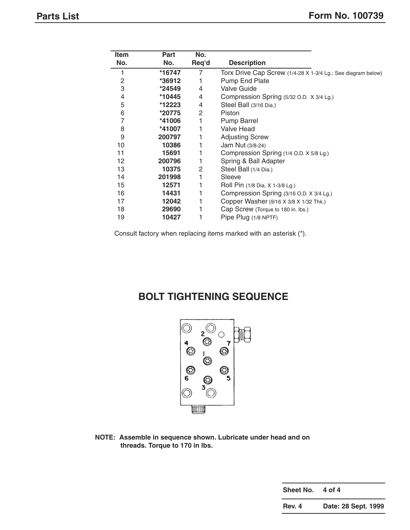| Item | Part   | No.          |                                                              |
|------|--------|--------------|--------------------------------------------------------------|
| No.  | No.    | Req'd        | <b>Description</b>                                           |
|      | *16747 | 7            | Torx Drive Cap Screw (1/4-28 X 1-3/4 Lg.; See diagram below) |
| 2    | *36912 |              | Pump End Plate                                               |
| 3    | *24549 | 4            | <b>Valve Guide</b>                                           |
| 4    | *10445 | 4            | Compression Spring (5/32 O.D. X 3/4 Lg.)                     |
| 5    | *12223 | 4            | Steel Ball (3/16 Dia.)                                       |
| 6    | *20775 | $\mathbf{2}$ | Piston                                                       |
| 7    | *41006 | 1            | <b>Pump Barrel</b>                                           |
| 8    | *41007 | 1            | Valve Head                                                   |
| 9    | 200797 | 1            | <b>Adjusting Screw</b>                                       |
| 10   | 10386  |              | Jam Nut (3/8-24)                                             |
| 11   | 15691  | 1            | Compression Spring (1/4 O.D. X 5/8 Lg.)                      |
| 12   | 200796 | 1            | Spring & Ball Adapter                                        |
| 13   | 10375  | 2            | Steel Ball (1/4 Dia.)                                        |
| 14   | 201998 |              | Sleeve                                                       |
| 15   | 12571  | 1            | Roll Pin (1/8 Dia. X 1-3/8 Lg.)                              |
| 16   | 14431  |              | Compression Spring (3/16 O.D. X 3/4 Lg.)                     |
| 17   | 12042  |              | Copper Washer (9/16 X 3/8 X 1/32 Thk.)                       |
| 18   | 29690  |              | Cap Screw (Torque to 180 in. lbs.)                           |
| 19   | 10427  |              | Pipe Plug (1/8 NPTF)                                         |

Consult factory when replacing items marked with an asterisk (\*).

## **BOLT TIGHTENING SEQUENCE**



**NOTE: Assemble in sequence shown. Lubricate under head and on threads. Torque to 170 in lbs.**

> **Sheet No. 4 of 4 Rev. 4 Date: 28 Sept. 1999**